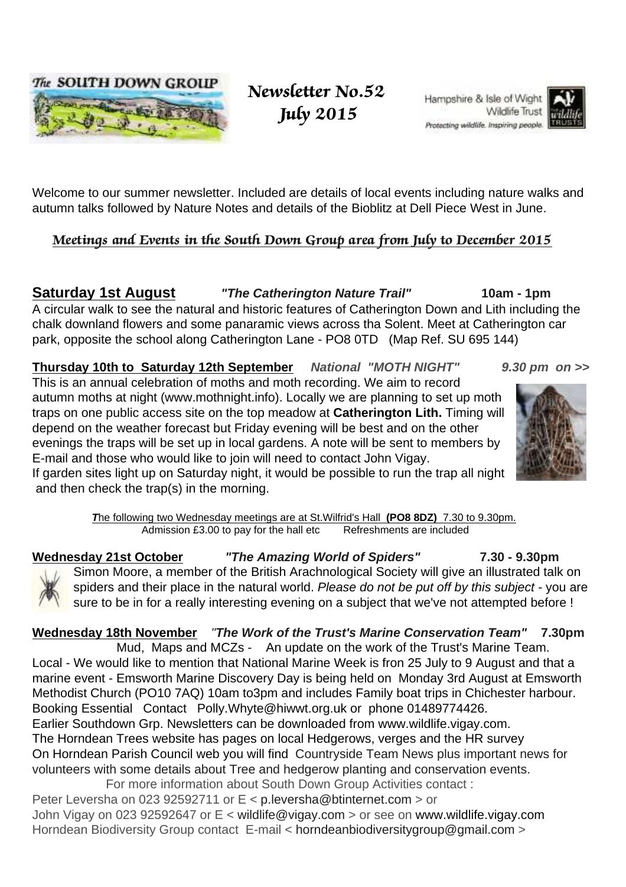

 Newsletter No.52 July 2015

Hampshire & Isle of Wight Wildlife Trust Protecting wildlife, Inspiring people.



Welcome to our summer newsletter. Included are details of local events including nature walks and autumn talks followed by Nature Notes and details of the Bioblitz at Dell Piece West in June.

#### Meetings and Events in the South Down Group area from July to December 2015

**Saturday 1st August "The Catherington Nature Trail" 10am - 1pm**  A circular walk to see the natural and historic features of Catherington Down and Lith including the chalk downland flowers and some panaramic views across tha Solent. Meet at Catherington car park, opposite the school along Catherington Lane - PO8 0TD (Map Ref. SU 695 144)

**Thursday 10th to Saturday 12th September National "MOTH NIGHT" 9.30 pm on >>** This is an annual celebration of moths and moth recording. We aim to record autumn moths at night (www.mothnight.info). Locally we are planning to set up moth traps on one public access site on the top meadow at **Catherington Lith.** Timing will depend on the weather forecast but Friday evening will be best and on the other evenings the traps will be set up in local gardens. A note will be sent to members by E-mail and those who would like to join will need to contact John Vigay. If garden sites light up on Saturday night, it would be possible to run the trap all night

and then check the trap(s) in the morning.

**T**he following two Wednesday meetings are at St.Wilfrid's Hall **(PO8 8DZ)** 7.30 to 9.30pm. Admission £3.00 to pay for the hall etc Refreshments are included

**Wednesday 21st October "The Amazing World of Spiders" 7.30 - 9.30pm** Simon Moore, a member of the British Arachnological Society will give an illustrated talk on spiders and their place in the natural world. Please do not be put off by this subject - you are sure to be in for a really interesting evening on a subject that we've not attempted before !

#### **Wednesday 18th November** "**The Work of the Trust's Marine Conservation Team" 7.30pm**

Mud, Maps and MCZs - An update on the work of the Trust's Marine Team. Local - We would like to mention that National Marine Week is fron 25 July to 9 August and that a marine event - Emsworth Marine Discovery Day is being held on Monday 3rd August at Emsworth Methodist Church (PO10 7AQ) 10am to3pm and includes Family boat trips in Chichester harbour. Booking Essential Contact Polly.Whyte@hiwwt.org.uk or phone 01489774426. Earlier Southdown Grp. Newsletters can be downloaded from www.wildlife.vigay.com. The Horndean Trees website has pages on local Hedgerows, verges and the HR survey On Horndean Parish Council web you will find Countryside Team News plus important news for volunteers with some details about Tree and hedgerow planting and conservation events.

 For more information about South Down Group Activities contact : Peter Leversha on 023 92592711 or E < p.leversha@btinternet.com > or John Vigay on 023 92592647 or E < wildlife@vigay.com > or see on www.wildlife.vigay.com Horndean Biodiversity Group contact E-mail < horndeanbiodiversitygroup@gmail.com >

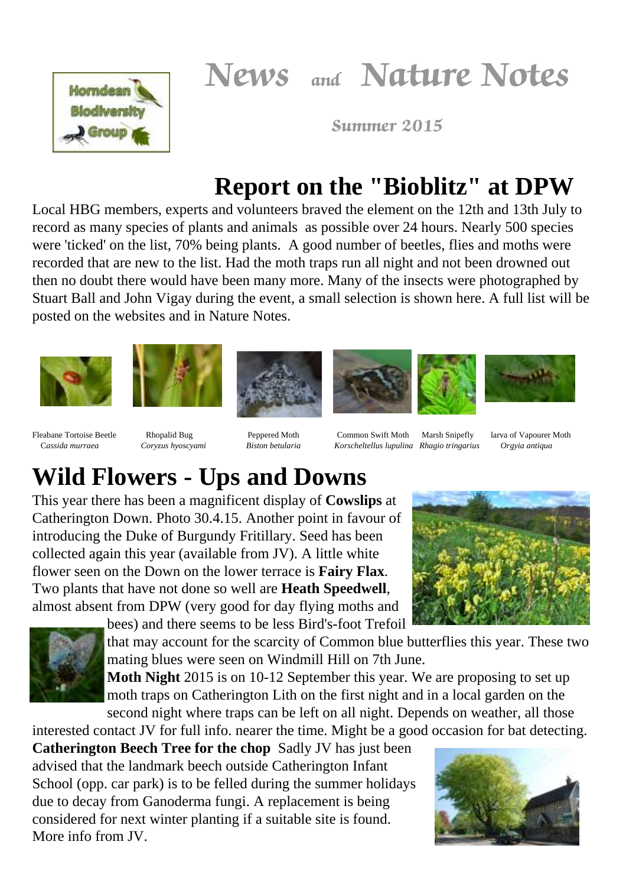News and Nature Notes



Summer 2015

## **Report on the "Bioblitz" at DPW**

Local HBG members, experts and volunteers braved the element on the 12th and 13th July to record as many species of plants and animals as possible over 24 hours. Nearly 500 species were 'ticked' on the list, 70% being plants. A good number of beetles, flies and moths were recorded that are new to the list. Had the moth traps run all night and not been drowned out then no doubt there would have been many more. Many of the insects were photographed by Stuart Ball and John Vigay during the event, a small selection is shown here. A full list will be posted on the websites and in Nature Notes.











Fleabane Tortoise Beetle Rhopalid Bug Peppered Moth Common Swift Moth Marsh Snipefly larva of Vapourer Moth C*assida murraea Coryzus hyoscyami Biston betularia Korscheltellus lupulina Rhagio tringarius Orgyia antiqua*

# **Wild Flowers - Ups and Downs**

This year there has been a magnificent display of **Cowslips** at Catherington Down. Photo 30.4.15. Another point in favour of introducing the Duke of Burgundy Fritillary. Seed has been collected again this year (available from JV). A little white flower seen on the Down on the lower terrace is **Fairy Flax**. Two plants that have not done so well are **Heath Speedwell**, almost absent from DPW (very good for day flying moths and



bees) and there seems to be less Bird's-foot Trefoil that may account for the scarcity of Common blue butterflies this year. These two mating blues were seen on Windmill Hill on 7th June.

**Moth Night** 2015 is on 10-12 September this year. We are proposing to set up moth traps on Catherington Lith on the first night and in a local garden on the second night where traps can be left on all night. Depends on weather, all those

interested contact JV for full info. nearer the time. Might be a good occasion for bat detecting.

**Catherington Beech Tree for the chop** Sadly JV has just been advised that the landmark beech outside Catherington Infant School (opp. car park) is to be felled during the summer holidays due to decay from Ganoderma fungi. A replacement is being considered for next winter planting if a suitable site is found. More info from JV.